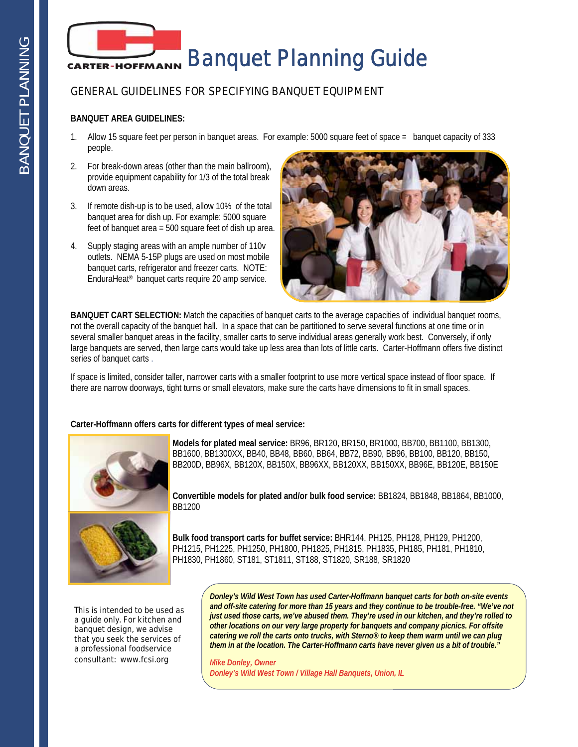

### GENERAL GUIDELINES FOR SPECIFYING BANQUET EQUIPMENT

#### **BANQUET AREA GUIDELINES:**

- 1. Allow 15 square feet per person in banquet areas. For example: 5000 square feet of space = banquet capacity of 333 people.
- 2. For break-down areas (other than the main ballroom), provide equipment capability for 1/3 of the total break down areas.
- 3. If remote dish-up is to be used, allow 10% of the total banquet area for dish up. For example: 5000 square feet of banquet area = 500 square feet of dish up area.
- 4. Supply staging areas with an ample number of 110v outlets. NEMA 5-15P plugs are used on most mobile banquet carts, refrigerator and freezer carts. NOTE: EnduraHeat® banquet carts require 20 amp service.



**BANQUET CART SELECTION:** Match the capacities of banquet carts to the average capacities of individual banquet rooms, not the overall capacity of the banquet hall. In a space that can be partitioned to serve several functions at one time or in several smaller banquet areas in the facility, smaller carts to serve individual areas generally work best. Conversely, if only large banquets are served, then large carts would take up less area than lots of little carts. Carter-Hoffmann offers five distinct series of banquet carts .

If space is limited, consider taller, narrower carts with a smaller footprint to use more vertical space instead of floor space. If there are narrow doorways, tight turns or small elevators, make sure the carts have dimensions to fit in small spaces.

#### **Carter-Hoffmann offers carts for different types of meal service:**



**Models for plated meal service:** BR96, BR120, BR150, BR1000, BB700, BB1100, BB1300, BB1600, BB1300XX, BB40, BB48, BB60, BB64, BB72, BB90, BB96, BB100, BB120, BB150, BB200D, BB96X, BB120X, BB150X, BB96XX, BB120XX, BB150XX, BB96E, BB120E, BB150E

**Convertible models for plated and/or bulk food service:** BB1824, BB1848, BB1864, BB1000, BB1200

**Bulk food transport carts for buffet service:** BHR144, PH125, PH128, PH129, PH1200, PH1215, PH1225, PH1250, PH1800, PH1825, PH1815, PH1835, PH185, PH181, PH1810, PH1830, PH1860, ST181, ST1811, ST188, ST1820, SR188, SR1820

This is intended to be used as a guide only. For kitchen and banquet design, we advise that you seek the services of a professional foodservice consultant: www.fcsi.org

*Donley's Wild West Town has used Carter-Hoffmann banquet carts for both on-site events and off-site catering for more than 15 years and they continue to be trouble-free. "We've not just used those carts, we've abused them. They're used in our kitchen, and they're rolled to other locations on our very large property for banquets and company picnics. For offsite catering we roll the carts onto trucks, with Sterno® to keep them warm until we can plug them in at the location. The Carter-Hoffmann carts have never given us a bit of trouble."* 

 $\overline{a}$ 

*Mike Donley, Owner Donley's Wild West Town / Village Hall Banquets, Union, IL*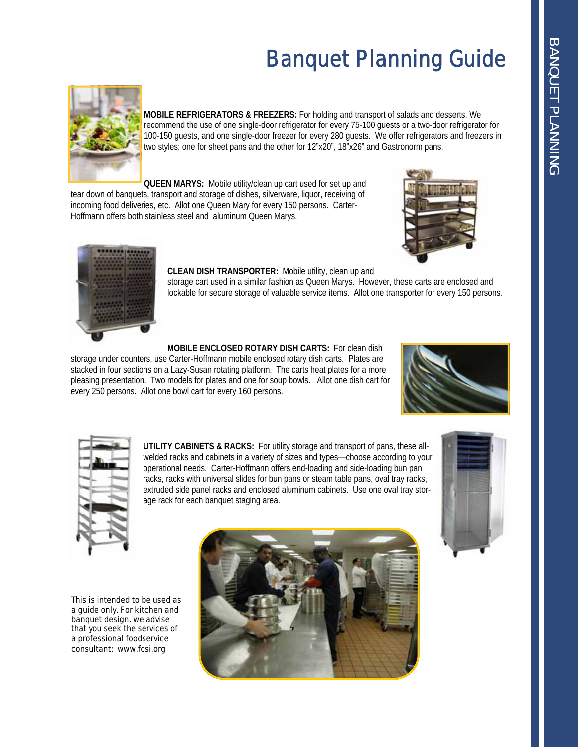# Banquet Planning Guide



**MOBILE REFRIGERATORS & FREEZERS:** For holding and transport of salads and desserts. We recommend the use of one single-door refrigerator for every 75-100 guests or a two-door refrigerator for 100-150 guests, and one single-door freezer for every 280 guests. We offer refrigerators and freezers in two styles; one for sheet pans and the other for 12"x20", 18"x26" and Gastronorm pans.

**QUEEN MARYS:** Mobile utility/clean up cart used for set up and tear down of banquets, transport and storage of dishes, silverware, liquor, receiving of incoming food deliveries, etc. Allot one Queen Mary for every 150 persons. Carter-Hoffmann offers both stainless steel and aluminum Queen Marys.





#### **CLEAN DISH TRANSPORTER:** Mobile utility, clean up and

storage cart used in a similar fashion as Queen Marys. However, these carts are enclosed and lockable for secure storage of valuable service items. Allot one transporter for every 150 persons.

**MOBILE ENCLOSED ROTARY DISH CARTS:** For clean dish

storage under counters, use Carter-Hoffmann mobile enclosed rotary dish carts. Plates are stacked in four sections on a Lazy-Susan rotating platform. The carts heat plates for a more pleasing presentation. Two models for plates and one for soup bowls. Allot one dish cart for every 250 persons. Allot one bowl cart for every 160 persons.





**UTILITY CABINETS & RACKS:** For utility storage and transport of pans, these allwelded racks and cabinets in a variety of sizes and types—choose according to your operational needs. Carter-Hoffmann offers end-loading and side-loading bun pan racks, racks with universal slides for bun pans or steam table pans, oval tray racks, extruded side panel racks and enclosed aluminum cabinets. Use one oval tray storage rack for each banquet staging area.



This is intended to be used as a guide only. For kitchen and banquet design, we advise that you seek the services of a professional foodservice consultant: www.fcsi.org

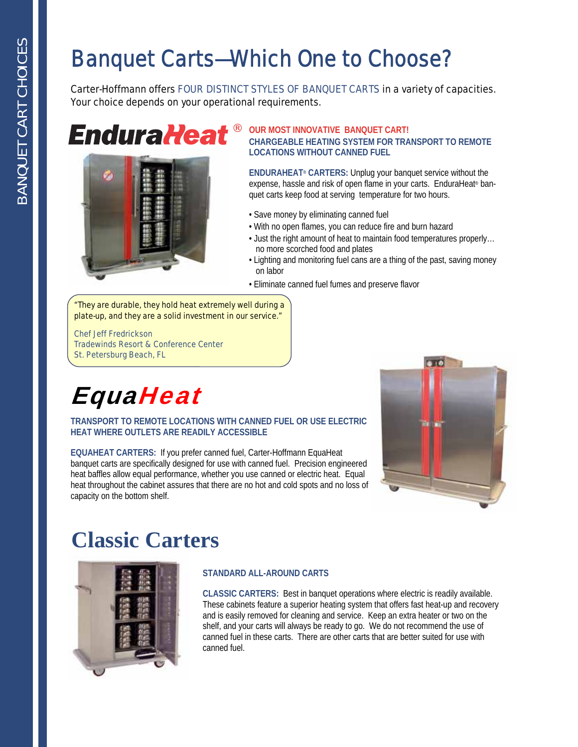### Banquet Carts—Which One to Choose?

Carter-Hoffmann offers FOUR DISTINCT STYLES OF BANQUET CARTS in a variety of capacities. Your choice depends on your operational requirements.

## **EnduraHeat®**



#### **OUR MOST INNOVATIVE BANQUET CART! CHARGEABLE HEATING SYSTEM FOR TRANSPORT TO REMOTE LOCATIONS WITHOUT CANNED FUEL**

**ENDURAHEAT® CARTERS:** Unplug your banquet service without the expense, hassle and risk of open flame in your carts. EnduraHeat® banquet carts keep food at serving temperature for two hours.

- Save money by eliminating canned fuel
- With no open flames, you can reduce fire and burn hazard
- Just the right amount of heat to maintain food temperatures properly… no more scorched food and plates
- Lighting and monitoring fuel cans are a thing of the past, saving money on labor
- Eliminate canned fuel fumes and preserve flavor

*"They are durable, they hold heat extremely well during a plate-up, and they are a solid investment in our service."* 

*Chef Jeff Fredrickson Tradewinds Resort & Conference Center St. Petersburg Beach, FL* 

## **EquaHeat**

### **TRANSPORT TO REMOTE LOCATIONS WITH CANNED FUEL OR USE ELECTRIC HEAT WHERE OUTLETS ARE READILY ACCESSIBLE**

**EQUAHEAT CARTERS:** If you prefer canned fuel, Carter-Hoffmann EquaHeat banquet carts are specifically designed for use with canned fuel. Precision engineered heat baffles allow equal performance, whether you use canned or electric heat. Equal heat throughout the cabinet assures that there are no hot and cold spots and no loss of capacity on the bottom shelf.



### **Classic Carters**



### **STANDARD ALL-AROUND CARTS**

**CLASSIC CARTERS:** Best in banquet operations where electric is readily available. These cabinets feature a superior heating system that offers fast heat-up and recovery and is easily removed for cleaning and service. Keep an extra heater or two on the shelf, and your carts will always be ready to go. We do not recommend the use of canned fuel in these carts. There are other carts that are better suited for use with canned fuel.